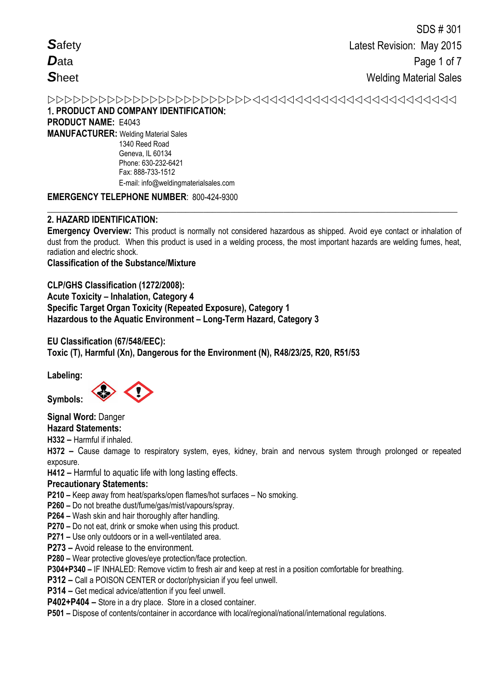## 1. **PRODUCT AND COMPANY IDENTIFICATION**: **PRODUCT NAME:** E4043 **MANUFACTURER:** Welding Material Sales 1340 Reed Road Geneva, IL 60134

**EMERGENCY TELEPHONE NUMBER**: 800-424-9300

Phone: 630-232-6421 Fax: 888-733-1512

E-mail: info@weldingmaterialsales.com

#### **\_\_\_\_\_\_\_\_\_\_\_\_\_\_\_\_\_\_\_\_\_\_\_\_\_\_\_\_\_\_\_\_\_\_\_\_\_\_\_\_\_\_\_\_\_\_\_\_\_\_\_\_\_\_\_\_\_\_\_\_\_\_\_\_\_\_\_\_\_\_\_\_\_\_\_\_\_\_\_\_\_\_\_\_\_\_\_\_\_\_\_\_ 2. HAZARD IDENTIFICATION:**

**Emergency Overview:** This product is normally not considered hazardous as shipped. Avoid eye contact or inhalation of dust from the product. When this product is used in a welding process, the most important hazards are welding fumes, heat, radiation and electric shock.

## **Classification of the Substance/Mixture**

**CLP/GHS Classification (1272/2008): Acute Toxicity – Inhalation, Category 4 Specific Target Organ Toxicity (Repeated Exposure), Category 1 Hazardous to the Aquatic Environment – Long-Term Hazard, Category 3** 

# **EU Classification (67/548/EEC): Toxic (T), Harmful (Xn), Dangerous for the Environment (N), R48/23/25, R20, R51/53**

**Labeling:** 

**Symbols:** 

**Signal Word:** Danger

**Hazard Statements:** 

**H332 –** Harmful if inhaled.

**H372 –** Cause damage to respiratory system, eyes, kidney, brain and nervous system through prolonged or repeated exposure.

**H412 –** Harmful to aquatic life with long lasting effects.

## **Precautionary Statements:**

**P210 –** Keep away from heat/sparks/open flames/hot surfaces – No smoking.

**P260 –** Do not breathe dust/fume/gas/mist/vapours/spray.

**P264 –** Wash skin and hair thoroughly after handling.

**P270 –** Do not eat, drink or smoke when using this product.

**P271 –** Use only outdoors or in a well-ventilated area.

**P273 –** Avoid release to the environment.

**P280 –** Wear protective gloves/eye protection/face protection.

**P304+P340 –** IF INHALED: Remove victim to fresh air and keep at rest in a position comfortable for breathing.

**P312 –** Call a POISON CENTER or doctor/physician if you feel unwell.

**P314 –** Get medical advice/attention if you feel unwell.

**P402+P404 –** Store in a dry place. Store in a closed container.

**P501 –** Dispose of contents/container in accordance with local/regional/national/international regulations.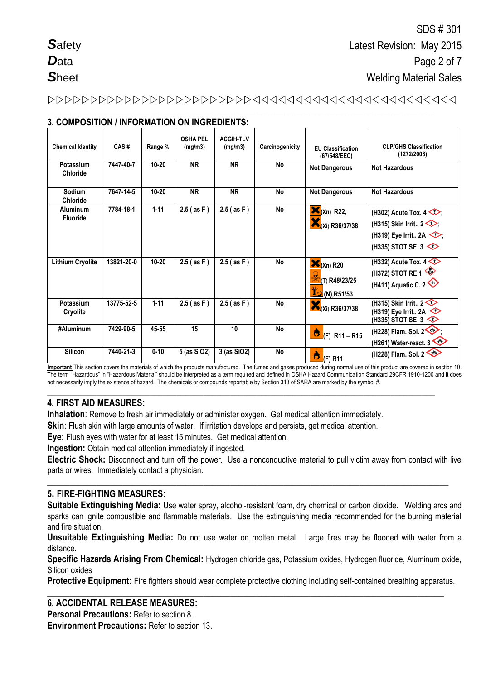# 

**\_\_\_\_\_\_\_\_\_\_\_\_\_\_\_\_\_\_\_\_\_\_\_\_\_\_\_\_\_\_\_\_\_\_\_\_\_\_\_\_\_\_\_\_\_\_\_\_\_\_\_\_\_\_\_\_\_\_\_\_\_\_\_\_\_\_\_\_\_\_\_\_\_\_\_\_\_\_\_\_\_\_\_\_\_\_\_**

| 3. COMPOSITION / INFORMATION ON INGREDIENTS: |            |           |                            |                             |                 |                                                                       |                                                                                                                                          |
|----------------------------------------------|------------|-----------|----------------------------|-----------------------------|-----------------|-----------------------------------------------------------------------|------------------------------------------------------------------------------------------------------------------------------------------|
| <b>Chemical Identity</b>                     | CAS#       | Range %   | <b>OSHA PEL</b><br>(mg/m3) | <b>ACGIH-TLV</b><br>(mg/m3) | Carcinogenicity | <b>EU Classification</b><br>(67/548/EEC)                              | <b>CLP/GHS Classification</b><br>(1272/2008)                                                                                             |
| Potassium<br><b>Chloride</b>                 | 7447-40-7  | $10 - 20$ | <b>NR</b>                  | <b>NR</b>                   | No              | <b>Not Dangerous</b>                                                  | <b>Not Hazardous</b>                                                                                                                     |
| Sodium<br><b>Chloride</b>                    | 7647-14-5  | $10 - 20$ | <b>NR</b>                  | <b>NR</b>                   | No              | <b>Not Dangerous</b>                                                  | <b>Not Hazardous</b>                                                                                                                     |
| Aluminum<br><b>Fluoride</b>                  | 7784-18-1  | $1 - 11$  | $2.5$ (as F)               | $2.5$ (as F)                | No              | $\mathbf{X}_{(Xn)}$ R22,<br>(Xi) R36/37/38                            | (H302) Acute Tox. $4 \diamondsuit$<br>(H315) Skin Irrit $2 \diamond$ .<br>(H319) Eye Irrit 2A $\textcircled{\frown}$<br>(H335) STOT SE 3 |
| <b>Lithium Cryolite</b>                      | 13821-20-0 | $10 - 20$ | $2.5$ (as F)               | $2.5$ (as F)                | No              | $\mathbf{X}_{(Xn)}$ R20<br>(T) R48/23/25<br>$\frac{1}{2}$ (N), R51/53 | (H332) Acute Tox. $4 \diamondsuit$<br>(H372) STOT RE 1<br>(H411) Aquatic C. 2                                                            |
| Potassium<br>Cryolite                        | 13775-52-5 | $1 - 11$  | $2.5$ (as F)               | $2.5$ (as F)                | No              | (Xi) R36/37/38                                                        | (H315) Skin Irrit $2 \leq$<br>(H319) Eye Irrit 2A<br>(H335) STOT SE 3                                                                    |
| #Aluminum                                    | 7429-90-5  | 45-55     | 15                         | 10                          | <b>No</b>       | Ò<br>$(F)$ R <sub>11</sub> – R <sub>15</sub>                          | (H228) Flam. Sol. 2<br>(H261) Water-react. $3 \leq 1$                                                                                    |
| <b>Silicon</b>                               | 7440-21-3  | $0 - 10$  | 5 (as SiO2)                | 3 (as SiO2)                 | No              | ٥<br>(F) R11                                                          | (H228) Flam. Sol. 2                                                                                                                      |

**Important** This section covers the materials of which the products manufactured. The fumes and gases produced during normal use of this product are covered in section 10. The term "Hazardous" in "Hazardous Material" should be interpreted as a term required and defined in OSHA Hazard Communication Standard 29CFR 1910-1200 and it does not necessarily imply the existence of hazard. The chemicals or compounds reportable by Section 313 of SARA are marked by the symbol #.

**\_\_\_\_\_\_\_\_\_\_\_\_\_\_\_\_\_\_\_\_\_\_\_\_\_\_\_\_\_\_\_\_\_\_\_\_\_\_\_\_\_\_\_\_\_\_\_\_\_\_\_\_\_\_\_\_\_\_\_\_\_\_\_\_\_\_\_\_\_\_\_\_\_\_\_\_\_\_\_\_\_\_\_\_\_\_\_**

## **4. FIRST AID MEASURES:**

**Inhalation**: Remove to fresh air immediately or administer oxygen. Get medical attention immediately.

**Skin**: Flush skin with large amounts of water. If irritation develops and persists, get medical attention.

**Eye:** Flush eyes with water for at least 15 minutes. Get medical attention.

**Ingestion:** Obtain medical attention immediately if ingested.

**Electric Shock:** Disconnect and turn off the power. Use a nonconductive material to pull victim away from contact with live parts or wires. Immediately contact a physician.

**\_\_\_\_\_\_\_\_\_\_\_\_\_\_\_\_\_\_\_\_\_\_\_\_\_\_\_\_\_\_\_\_\_\_\_\_\_\_\_\_\_\_\_\_\_\_\_\_\_\_\_\_\_\_\_\_\_\_\_\_\_\_\_\_\_\_\_\_\_\_\_\_\_\_\_\_\_\_\_\_\_\_\_\_\_\_\_\_\_\_**

## **5. FIRE-FIGHTING MEASURES:**

**Suitable Extinguishing Media:** Use water spray, alcohol-resistant foam, dry chemical or carbon dioxide. Welding arcs and sparks can ignite combustible and flammable materials. Use the extinguishing media recommended for the burning material and fire situation.

**Unsuitable Extinguishing Media:** Do not use water on molten metal. Large fires may be flooded with water from a distance.

**Specific Hazards Arising From Chemical:** Hydrogen chloride gas, Potassium oxides, Hydrogen fluoride, Aluminum oxide, Silicon oxides

**Protective Equipment:** Fire fighters should wear complete protective clothing including self-contained breathing apparatus.

**\_\_\_\_\_\_\_\_\_\_\_\_\_\_\_\_\_\_\_\_\_\_\_\_\_\_\_\_\_\_\_\_\_\_\_\_\_\_\_\_\_\_\_\_\_\_\_\_\_\_\_\_\_\_\_\_\_\_\_\_\_\_\_\_\_\_\_\_\_\_\_\_\_\_\_\_\_\_\_\_\_\_\_\_\_\_\_\_\_**

## **6. ACCIDENTAL RELEASE MEASURES:**

**Personal Precautions:** Refer to section 8.

**Environment Precautions:** Refer to section 13.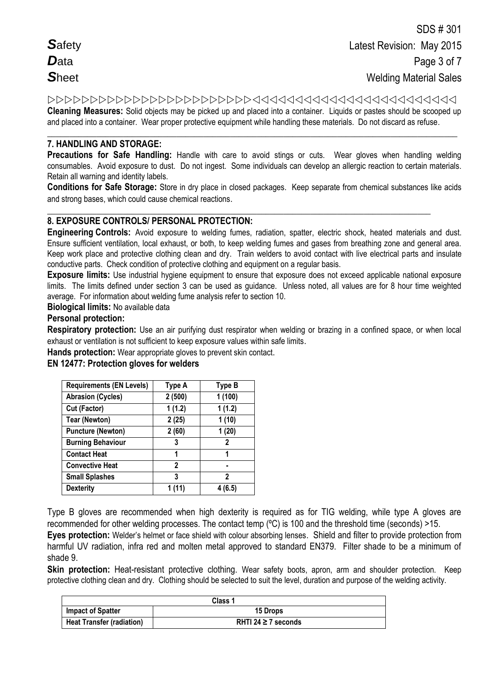**Cleaning Measures:** Solid objects may be picked up and placed into a container. Liquids or pastes should be scooped up and placed into a container. Wear proper protective equipment while handling these materials. Do not discard as refuse.

#### **\_\_\_\_\_\_\_\_\_\_\_\_\_\_\_\_\_\_\_\_\_\_\_\_\_\_\_\_\_\_\_\_\_\_\_\_\_\_\_\_\_\_\_\_\_\_\_\_\_\_\_\_\_\_\_\_\_\_\_\_\_\_\_\_\_\_\_\_\_\_\_\_\_\_\_\_\_\_\_\_\_\_\_\_\_\_\_\_\_\_\_\_ 7. HANDLING AND STORAGE:**

**Precautions for Safe Handling:** Handle with care to avoid stings or cuts. Wear gloves when handling welding consumables. Avoid exposure to dust. Do not ingest. Some individuals can develop an allergic reaction to certain materials. Retain all warning and identity labels.

**Conditions for Safe Storage:** Store in dry place in closed packages. Keep separate from chemical substances like acids and strong bases, which could cause chemical reactions.

#### **\_\_\_\_\_\_\_\_\_\_\_\_\_\_\_\_\_\_\_\_\_\_\_\_\_\_\_\_\_\_\_\_\_\_\_\_\_\_\_\_\_\_\_\_\_\_\_\_\_\_\_\_\_\_\_\_\_\_\_\_\_\_\_\_\_\_\_\_\_\_\_\_\_\_\_\_\_\_\_\_\_\_\_\_\_\_ 8. EXPOSURE CONTROLS/ PERSONAL PROTECTION:**

**Engineering Controls:** Avoid exposure to welding fumes, radiation, spatter, electric shock, heated materials and dust. Ensure sufficient ventilation, local exhaust, or both, to keep welding fumes and gases from breathing zone and general area. Keep work place and protective clothing clean and dry. Train welders to avoid contact with live electrical parts and insulate conductive parts. Check condition of protective clothing and equipment on a regular basis.

**Exposure limits:** Use industrial hygiene equipment to ensure that exposure does not exceed applicable national exposure limits. The limits defined under section 3 can be used as guidance. Unless noted, all values are for 8 hour time weighted average. For information about welding fume analysis refer to section 10.

**Biological limits:** No available data

## **Personal protection:**

**Respiratory protection:** Use an air purifying dust respirator when welding or brazing in a confined space, or when local exhaust or ventilation is not sufficient to keep exposure values within safe limits.

**Hands protection:** Wear appropriate gloves to prevent skin contact.

## **EN 12477: Protection gloves for welders**

| <b>Requirements (EN Levels)</b> | Type A | <b>Type B</b> |
|---------------------------------|--------|---------------|
| <b>Abrasion (Cycles)</b>        | 2(500) | 1(100)        |
| Cut (Factor)                    | 1(1.2) | 1(1.2)        |
| <b>Tear (Newton)</b>            | 2(25)  | 1(10)         |
| <b>Puncture (Newton)</b>        | 2(60)  | 1(20)         |
| <b>Burning Behaviour</b>        | 3      | $\mathbf 2$   |
| <b>Contact Heat</b>             | 1      | 1             |
| <b>Convective Heat</b>          | 2      | ۰             |
| <b>Small Splashes</b>           | 3      | 2             |
| <b>Dexterity</b>                | 1 (11) | 4 (6.5)       |

Type B gloves are recommended when high dexterity is required as for TIG welding, while type A gloves are recommended for other welding processes. The contact temp (ºC) is 100 and the threshold time (seconds) >15.

**Eyes protection:** Welder's helmet or face shield with colour absorbing lenses. Shield and filter to provide protection from harmful UV radiation, infra red and molten metal approved to standard EN379. Filter shade to be a minimum of shade 9.

**Skin protection:** Heat-resistant protective clothing. Wear safety boots, apron, arm and shoulder protection. Keep protective clothing clean and dry. Clothing should be selected to suit the level, duration and purpose of the welding activity.

| Class 1                          |                          |  |
|----------------------------------|--------------------------|--|
| <b>Impact of Spatter</b>         | <b>15 Drops</b>          |  |
| <b>Heat Transfer (radiation)</b> | RHTI 24 $\geq$ 7 seconds |  |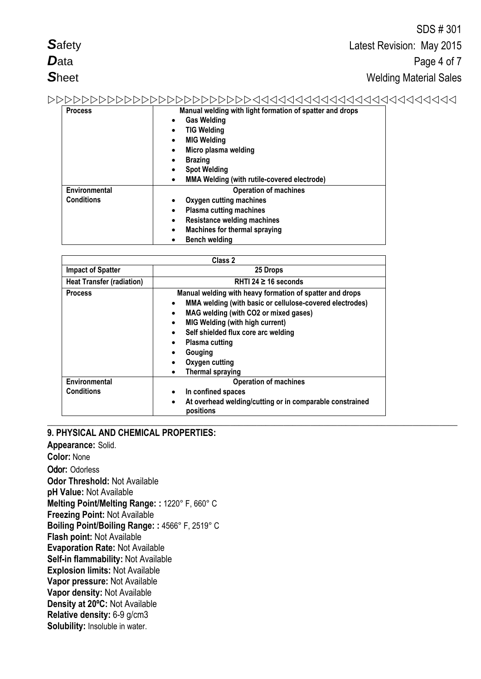|                   | SDS # 30T                                                |
|-------------------|----------------------------------------------------------|
| <b>Safety</b>     | Latest Revision: May 2015                                |
| <b>D</b> ata      | Page 4 of 7                                              |
| <b>Sheet</b>      | <b>Welding Material Sales</b>                            |
|                   |                                                          |
| <b>Process</b>    | Manual welding with light formation of spatter and drops |
|                   | <b>Gas Welding</b>                                       |
|                   | <b>TIG Welding</b><br>٠                                  |
|                   | <b>MIG Welding</b><br>$\bullet$                          |
|                   | Micro plasma welding                                     |
|                   | <b>Brazing</b><br>٠                                      |
|                   | <b>Spot Welding</b>                                      |
|                   | MMA Welding (with rutile-covered electrode)              |
| Environmental     | <b>Operation of machines</b>                             |
| <b>Conditions</b> | Oxygen cutting machines                                  |

 $\overline{O}$  $\overline{O}$   $\overline{O}$   $\overline{O}$   $\overline{O}$ 

| <b>Heat Transfer (radiation)</b> | RHTI 24 $\geq$ 16 seconds                                                          |
|----------------------------------|------------------------------------------------------------------------------------|
| <b>Process</b>                   | Manual welding with heavy formation of spatter and drops                           |
|                                  | MMA welding (with basic or cellulose-covered electrodes)<br>$\bullet$              |
|                                  | MAG welding (with CO2 or mixed gases)<br>$\bullet$                                 |
|                                  | <b>MIG Welding (with high current)</b><br>$\bullet$                                |
|                                  | Self shielded flux core arc welding<br>$\bullet$                                   |
|                                  | <b>Plasma cutting</b><br>$\bullet$                                                 |
|                                  | Gouging                                                                            |
|                                  | Oxygen cutting<br>$\bullet$                                                        |
|                                  | <b>Thermal spraying</b>                                                            |
| Environmental                    | <b>Operation of machines</b>                                                       |
| <b>Conditions</b>                | In confined spaces<br>$\bullet$                                                    |
|                                  | At overhead welding/cutting or in comparable constrained<br>$\bullet$<br>positions |

**\_\_\_\_\_\_\_\_\_\_\_\_\_\_\_\_\_\_\_\_\_\_\_\_\_\_\_\_\_\_\_\_\_\_\_\_\_\_\_\_\_\_\_\_\_\_\_\_\_\_\_\_\_\_\_\_\_\_\_\_\_\_\_\_\_\_\_\_\_\_\_\_\_\_\_\_\_\_\_\_\_\_\_\_\_\_\_\_\_\_\_\_**

 **Plasma cutting machines Resistance welding machines Machines for thermal spraying**

**Class 2**

**Bench welding**

**Impact of Spatter 25 Drops**

## **9. PHYSICAL AND CHEMICAL PROPERTIES:**

**Appearance:** Solid. **Color:** None Odor**:** Odorless **Odor Threshold:** Not Available **pH Value:** Not Available **Melting Point/Melting Range: :** 1220° F, 660° C **Freezing Point:** Not Available **Boiling Point/Boiling Range: :** 4566° F, 2519° C **Flash point:** Not Available **Evaporation Rate:** Not Available **Self-in flammability:** Not Available **Explosion limits:** Not Available **Vapor pressure:** Not Available **Vapor density:** Not Available **Density at 20ºC:** Not Available **Relative density:** 6-9 g/cm3 **Solubility:** Insoluble in water.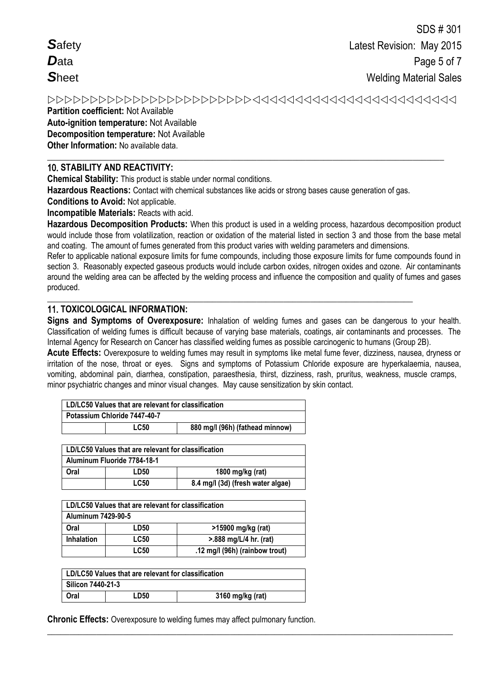**Safety**  $\mathbf{D}_{\text{ata}}$  $Sh$ eet

# 

Partition coefficient: Not Available **Auto-ignition temperature: Not Available Decomposition temperature: Not Available** Other Information: No available data.

## **10. STABILITY AND REACTIVITY:**

**Chemical Stability:** This product is stable under normal conditions.

Hazardous Reactions: Contact with chemical substances like acids or strong bases cause generation of gas.

**Conditions to Avoid: Not applicable.** 

Incompatible Materials: Reacts with acid.

Hazardous Decomposition Products: When this product is used in a welding process, hazardous decomposition product would include those from volatilization, reaction or oxidation of the material listed in section 3 and those from the base metal and coating. The amount of fumes generated from this product varies with welding parameters and dimensions.

Refer to applicable national exposure limits for fume compounds, including those exposure limits for fume compounds found in section 3. Reasonably expected gaseous products would include carbon oxides, nitrogen oxides and ozone. Air contaminants around the welding area can be affected by the welding process and influence the composition and quality of fumes and gases produced.

# **11. TOXICOLOGICAL INFORMATION:**

Signs and Symptoms of Overexposure: Inhalation of welding fumes and gases can be dangerous to your health. Classification of welding fumes is difficult because of varying base materials, coatings, air contaminants and processes. The Internal Agency for Research on Cancer has classified welding fumes as possible carcinogenic to humans (Group 2B).

Acute Effects: Overexposure to welding fumes may result in symptoms like metal fume fever, dizziness, nausea, dryness or irritation of the nose, throat or eyes. Signs and symptoms of Potassium Chloride exposure are hyperkalaemia, nausea, vomiting, abdominal pain, diarrhea, constipation, paraesthesia, thirst, dizziness, rash, pruritus, weakness, muscle cramps, minor psychiatric changes and minor visual changes. May cause sensitization by skin contact.

| LD/LC50 Values that are relevant for classification |             |                                 |
|-----------------------------------------------------|-------------|---------------------------------|
| Potassium Chloride 7447-40-7                        |             |                                 |
|                                                     | <b>LC50</b> | 880 mg/l (96h) (fathead minnow) |

| LD/LC50 Values that are relevant for classification |      |                  |  |
|-----------------------------------------------------|------|------------------|--|
| Aluminum Fluoride 7784-18-1                         |      |                  |  |
| Oral                                                | LD50 | 1800 mg/kg (rat) |  |
| <b>LC50</b><br>8.4 mg/l (3d) (fresh water algae)    |      |                  |  |

| LD/LC50 Values that are relevant for classification |             |                                          |  |
|-----------------------------------------------------|-------------|------------------------------------------|--|
| Aluminum 7429-90-5                                  |             |                                          |  |
| Oral                                                | LD50        | >15900 mg/kg (rat)                       |  |
| <b>Inhalation</b>                                   | <b>LC50</b> | $> 888 \text{ mg/L}/4 \text{ hr.}$ (rat) |  |
| <b>LC50</b><br>.12 mg/l (96h) (rainbow trout)       |             |                                          |  |

| LD/LC50 Values that are relevant for classification |  |  |
|-----------------------------------------------------|--|--|
| Silicon 7440-21-3                                   |  |  |
| Oral<br>3160 mg/kg (rat)<br><b>LD50</b>             |  |  |

**Chronic Effects:** Overexposure to welding fumes may affect pulmonary function.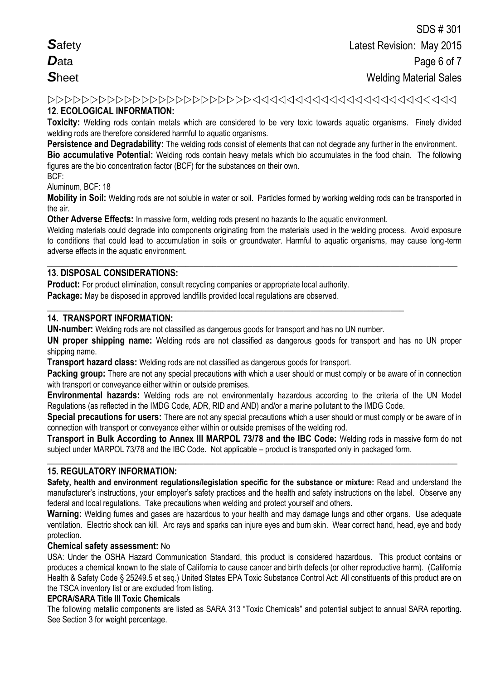## **12. ECOLOGICAL INFORMATION:**

**Toxicity:** Welding rods contain metals which are considered to be very toxic towards aquatic organisms. Finely divided welding rods are therefore considered harmful to aquatic organisms.

**Persistence and Degradability:** The welding rods consist of elements that can not degrade any further in the environment.

**Bio accumulative Potential:** Welding rods contain heavy metals which bio accumulates in the food chain. The following figures are the bio concentration factor (BCF) for the substances on their own.

BCF:

Aluminum, BCF: 18

**Mobility in Soil:** Welding rods are not soluble in water or soil. Particles formed by working welding rods can be transported in the air.

**Other Adverse Effects:** In massive form, welding rods present no hazards to the aquatic environment.

Welding materials could degrade into components originating from the materials used in the welding process. Avoid exposure to conditions that could lead to accumulation in soils or groundwater. Harmful to aquatic organisms, may cause long-term adverse effects in the aquatic environment.

**\_\_\_\_\_\_\_\_\_\_\_\_\_\_\_\_\_\_\_\_\_\_\_\_\_\_\_\_\_\_\_\_\_\_\_\_\_\_\_\_\_\_\_\_\_\_\_\_\_\_\_\_\_\_\_\_\_\_\_\_\_\_\_\_\_\_\_\_\_\_\_\_\_\_\_\_\_\_\_\_\_\_\_\_\_\_\_\_\_\_\_\_**

## **13. DISPOSAL CONSIDERATIONS:**

**Product:** For product elimination, consult recycling companies or appropriate local authority.

**Package:** May be disposed in approved landfills provided local regulations are observed.

## **14. TRANSPORT INFORMATION:**

**UN-number:** Welding rods are not classified as dangerous goods for transport and has no UN number.

**\_\_\_\_\_\_\_\_\_\_\_\_\_\_\_\_\_\_\_\_\_\_\_\_\_\_\_\_\_\_\_\_\_\_\_\_\_\_\_\_\_\_\_\_\_\_\_\_\_\_\_\_\_\_\_\_\_\_\_\_\_\_\_\_\_\_\_\_\_\_\_\_\_\_\_\_\_\_\_\_**

**UN proper shipping name:** Welding rods are not classified as dangerous goods for transport and has no UN proper shipping name.

**Transport hazard class:** Welding rods are not classified as dangerous goods for transport.

**Packing group:** There are not any special precautions with which a user should or must comply or be aware of in connection with transport or convevance either within or outside premises.

**Environmental hazards:** Welding rods are not environmentally hazardous according to the criteria of the UN Model Regulations (as reflected in the IMDG Code, ADR, RID and AND) and/or a marine pollutant to the IMDG Code.

**Special precautions for users:** There are not any special precautions which a user should or must comply or be aware of in connection with transport or conveyance either within or outside premises of the welding rod.

**Transport in Bulk According to Annex III MARPOL 73/78 and the IBC Code:** Welding rods in massive form do not subject under MARPOL 73/78 and the IBC Code. Not applicable – product is transported only in packaged form.

**\_\_\_\_\_\_\_\_\_\_\_\_\_\_\_\_\_\_\_\_\_\_\_\_\_\_\_\_\_\_\_\_\_\_\_\_\_\_\_\_\_\_\_\_\_\_\_\_\_\_\_\_\_\_\_\_\_\_\_\_\_\_\_\_\_\_\_\_\_\_\_\_\_\_\_\_\_\_\_\_\_\_\_\_\_\_\_\_\_\_\_\_**

## **15. REGULATORY INFORMATION:**

**Safety, health and environment regulations/legislation specific for the substance or mixture:** Read and understand the manufacturer's instructions, your employer's safety practices and the health and safety instructions on the label. Observe any federal and local regulations. Take precautions when welding and protect yourself and others.

**Warning:** Welding fumes and gases are hazardous to your health and may damage lungs and other organs. Use adequate ventilation.Electric shock can kill. Arc rays and sparks can injure eyes and burn skin. Wear correct hand, head, eye and body protection.

## **Chemical safety assessment:** No

USA: Under the OSHA Hazard Communication Standard, this product is considered hazardous. This product contains or produces a chemical known to the state of California to cause cancer and birth defects (or other reproductive harm). (California Health & Safety Code § 25249.5 et seq.) United States EPA Toxic Substance Control Act: All constituents of this product are on the TSCA inventory list or are excluded from listing.

#### **EPCRA/SARA Title III Toxic Chemicals**

The following metallic components are listed as SARA 313 "Toxic Chemicals" and potential subject to annual SARA reporting. See Section 3 for weight percentage.